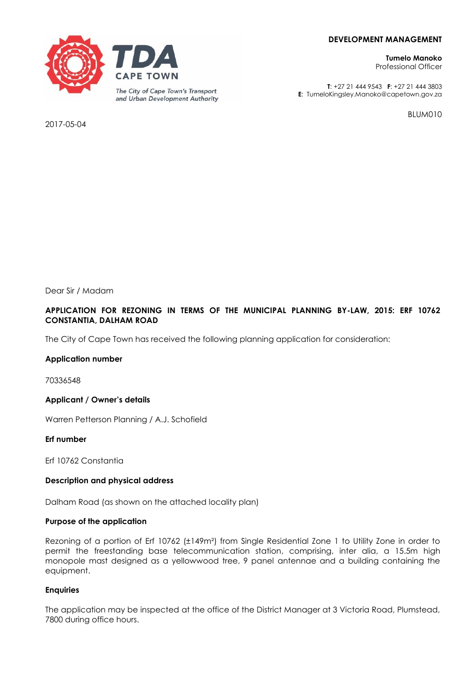# **DEVELOPMENT MANAGEMENT**

**Tumelo Manoko** Professional Officer

**T**: +27 21 444 9543 **F**: +27 21 444 3803 **E**: TumeloKingsley.Manoko@capetown.gov.za

BLUM010

2017-05-04

Dear Sir / Madam

# **APPLICATION FOR REZONING IN TERMS OF THE MUNICIPAL PLANNING BY-LAW, 2015: ERF 10762 CONSTANTIA, DALHAM ROAD**

The City of Cape Town has received the following planning application for consideration:

# **Application number**

70336548

**Applicant / Owner's details**

Warren Petterson Planning / A.J. Schofield

**Erf number**

Erf 10762 Constantia

# **Description and physical address**

Dalham Road (as shown on the attached locality plan)

# **Purpose of the application**

Rezoning of a portion of Erf 10762 (±149m²) from Single Residential Zone 1 to Utility Zone in order to permit the freestanding base telecommunication station, comprising, inter alia, a 15.5m high monopole mast designed as a yellowwood tree, 9 panel antennae and a building containing the equipment.

# **Enquiries**

The application may be inspected at the office of the District Manager at 3 Victoria Road, Plumstead, 7800 during office hours.

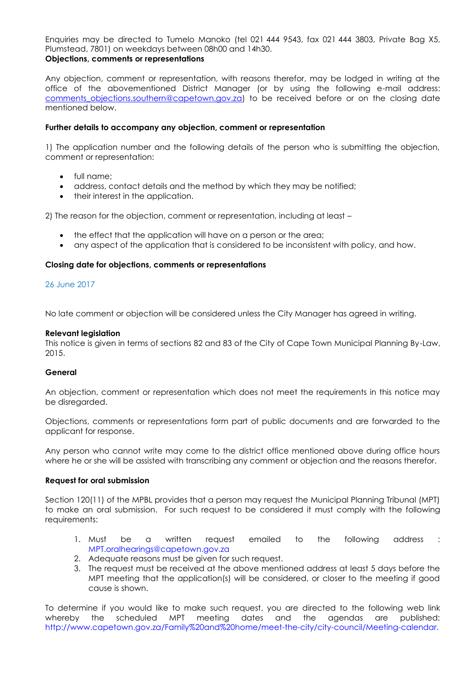Enquiries may be directed to Tumelo Manoko (tel 021 444 9543, fax 021 444 3803, Private Bag X5, Plumstead, 7801) on weekdays between 08h00 and 14h30. **Objections, comments or representations** 

Any objection, comment or representation, with reasons therefor, may be lodged in writing at the office of the abovementioned District Manager (or by using the following e-mail address: comments objections.southern@capetown.gov.za) to be received before or on the closing date mentioned below.

# **Further details to accompany any objection, comment or representation**

1) The application number and the following details of the person who is submitting the objection, comment or representation:

- full name:
- address, contact details and the method by which they may be notified;
- their interest in the application.

2) The reason for the objection, comment or representation, including at least –

- the effect that the application will have on a person or the area;
- any aspect of the application that is considered to be inconsistent with policy, and how.

#### **Closing date for objections, comments or representations**

#### 26 June 2017

No late comment or objection will be considered unless the City Manager has agreed in writing.

#### **Relevant legislation**

This notice is given in terms of sections 82 and 83 of the City of Cape Town Municipal Planning By-Law, 2015.

# **General**

An objection, comment or representation which does not meet the requirements in this notice may be disregarded.

Objections, comments or representations form part of public documents and are forwarded to the applicant for response.

Any person who cannot write may come to the district office mentioned above during office hours where he or she will be assisted with transcribing any comment or objection and the reasons therefor.

#### **Request for oral submission**

Section 120(11) of the MPBL provides that a person may request the Municipal Planning Tribunal (MPT) to make an oral submission. For such request to be considered it must comply with the following requirements:

- 1. Must be a written request emailed to the following address : [MPT.oralhearings@capetown.gov.za](mailto:MPT.oralhearings@capetown.gov.za)
- 2. Adequate reasons must be given for such request.
- 3. The request must be received at the above mentioned address at least 5 days before the MPT meeting that the application(s) will be considered, or closer to the meeting if good cause is shown.

To determine if you would like to make such request, you are directed to the following web link whereby the scheduled MPT meeting dates and the agendas are published: [http://www.capetown.gov.za/Family%20and%20home/meet-the-city/city-council/Meeting-calendar.](http://www.capetown.gov.za/Family%20and%20home/meet-the-city/city-council/Meeting-calendar)